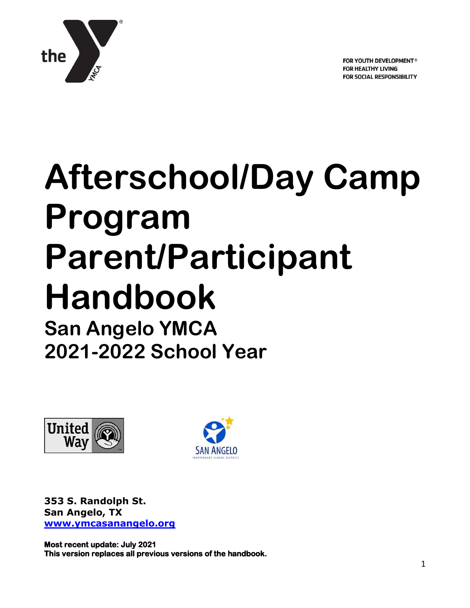

FOR YOUTH DEVELOPMENT® FOR HEALTHY LIVING FOR SOCIAL RESPONSIBILITY

# **Afterschool/Day Camp Program Parent/Participant Handbook San Angelo YMCA 2021-2022 School Year**





**353 S. Randolph St. San Angelo, TX [www.ymcasanangelo.org](http://www.ymcasanangelo.org/)**

**Most recent update: July 2021 This version replaces all previous versions of the handbook.**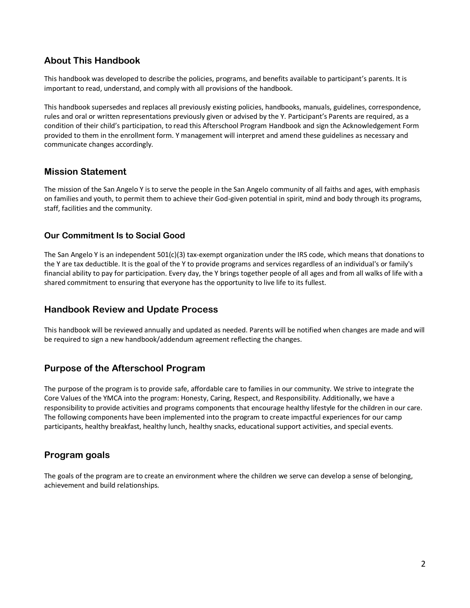## **About This Handbook**

This handbook was developed to describe the policies, programs, and benefits available to participant's parents. It is important to read, understand, and comply with all provisions of the handbook.

This handbook supersedes and replaces all previously existing policies, handbooks, manuals, guidelines, correspondence, rules and oral or written representations previously given or advised by the Y. Participant's Parents are required, as a condition of their child's participation, to read this Afterschool Program Handbook and sign the Acknowledgement Form provided to them in the enrollment form. Y management will interpret and amend these guidelines as necessary and communicate changes accordingly.

## **Mission Statement**

The mission of the San Angelo Y is to serve the people in the San Angelo community of all faiths and ages, with emphasis on families and youth, to permit them to achieve their God-given potential in spirit, mind and body through its programs, staff, facilities and the community.

## **Our Commitment Is to Social Good**

The San Angelo Y is an independent 501(c)(3) tax-exempt organization under the IRS code, which means that donations to the Y are tax deductible. It is the goal of the Y to provide programs and services regardless of an individual's or family's financial ability to pay for participation. Every day, the Y brings together people of all ages and from all walks of life with a shared commitment to ensuring that everyone has the opportunity to live life to its fullest.

# **Handbook Review and Update Process**

This handbook will be reviewed annually and updated as needed. Parents will be notified when changes are made and will be required to sign a new handbook/addendum agreement reflecting the changes.

## **Purpose of the Afterschool Program**

The purpose of the program is to provide safe, affordable care to families in our community. We strive to integrate the Core Values of the YMCA into the program: Honesty, Caring, Respect, and Responsibility. Additionally, we have a responsibility to provide activities and programs components that encourage healthy lifestyle for the children in our care. The following components have been implemented into the program to create impactful experiences for our camp participants, healthy breakfast, healthy lunch, healthy snacks, educational support activities, and special events.

# **Program goals**

The goals of the program are to create an environment where the children we serve can develop a sense of belonging, achievement and build relationships.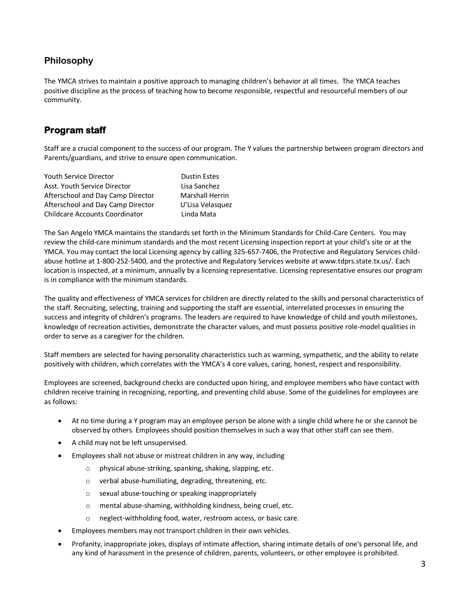# **Philosophy**

The YMCA strives to maintain a positive approach to managing children's behavior at all times. The YMCA teaches positive discipline as the process of teaching how to become responsible, respectful and resourceful members of our community.

# **Program staff**

Staff are a crucial component to the success of our program. The Y values the partnership between program directors and Parents/guardians, and strive to ensure open communication.

| <b>Youth Service Director</b>         | <b>Dustin Estes</b>    |
|---------------------------------------|------------------------|
| Asst. Youth Service Director          | Lisa Sanchez           |
| Afterschool and Day Camp Director     | <b>Marshall Herrin</b> |
| Afterschool and Day Camp Director     | U'Lisa Velasquez       |
| <b>Childcare Accounts Coordinator</b> | Linda Mata             |

The San Angelo YMCA maintains the standards set forth in the Minimum Standards for Child-Care Centers. You may review the child-care minimum standards and the most recent Licensing inspection report at your child's site or at the YMCA. You may contact the local Licensing agency by calling 325-657-7406, the Protective and Regulatory Services childabuse hotline at 1-800-252-5400, and the protective and Regulatory Services website at www.tdprs.state.tx.us/. Each location is inspected, at a minimum, annually by a licensing representative. Licensing representative ensures our program is in compliance with the minimum standards.

The quality and effectiveness of YMCA services for children are directly related to the skills and personal characteristics of the staff. Recruiting, selecting, training and supporting the staff are essential, interrelated processes in ensuring the success and integrity of children's programs. The leaders are required to have knowledge of child and youth milestones, knowledge of recreation activities, demonstrate the character values, and must possess positive role-model qualities in order to serve as a caregiver for the children.

Staff members are selected for having personality characteristics such as warming, sympathetic, and the ability to relate positively with children, which correlates with the YMCA's 4 core values, caring, honest, respect and responsibility.

Employees are screened, background checks are conducted upon hiring, and employee members who have contact with children receive training in recognizing, reporting, and preventing child abuse. Some of the guidelines for employees are as follows:

- At no time during a Y program may an employee person be alone with a single child where he or she cannot be observed by others. Employees should position themselves in such a way that other staff can see them.
- A child may not be left unsupervised.
- Employees shall not abuse or mistreat children in any way, including
	- o physical abuse-striking, spanking, shaking, slapping, etc.
	- o verbal abuse-humiliating, degrading, threatening, etc.
	- o sexual abuse-touching or speaking inappropriately
	- o mental abuse-shaming, withholding kindness, being cruel, etc.
	- o neglect-withholding food, water, restroom access, or basic care.
- Employees members may not transport children in their own vehicles.
- Profanity, inappropriate jokes, displays of intimate affection, sharing intimate details of one's personal life, and any kind of harassment in the presence of children, parents, volunteers, or other employee is prohibited.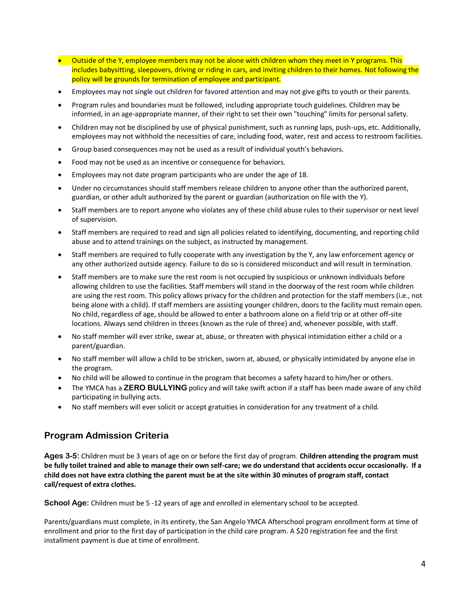- Outside of the Y, employee members may not be alone with children whom they meet in Y programs. This includes babysitting, sleepovers, driving or riding in cars, and inviting children to their homes. Not following the policy will be grounds for termination of employee and participant.
- Employees may not single out children for favored attention and may not give gifts to youth or their parents.
- Program rules and boundaries must be followed, including appropriate touch guidelines. Children may be informed, in an age-appropriate manner, of their right to set their own "touching" limits for personal safety.
- Children may not be disciplined by use of physical punishment, such as running laps, push-ups, etc. Additionally, employees may not withhold the necessities of care, including food, water, rest and access to restroom facilities.
- Group based consequences may not be used as a result of individual youth's behaviors.
- Food may not be used as an incentive or consequence for behaviors.
- Employees may not date program participants who are under the age of 18.
- Under no circumstances should staff members release children to anyone other than the authorized parent, guardian, or other adult authorized by the parent or guardian (authorization on file with the Y).
- Staff members are to report anyone who violates any of these child abuse rules to their supervisor or next level of supervision.
- Staff members are required to read and sign all policies related to identifying, documenting, and reporting child abuse and to attend trainings on the subject, as instructed by management.
- Staff members are required to fully cooperate with any investigation by the Y, any law enforcement agency or any other authorized outside agency. Failure to do so is considered misconduct and will result in termination.
- Staff members are to make sure the rest room is not occupied by suspicious or unknown individuals before allowing children to use the facilities. Staff members will stand in the doorway of the rest room while children are using the rest room. This policy allows privacy for the children and protection for the staff members (i.e., not being alone with a child). If staff members are assisting younger children, doors to the facility must remain open. No child, regardless of age, should be allowed to enter a bathroom alone on a field trip or at other off-site locations. Always send children in threes (known as the rule of three) and, whenever possible, with staff.
- No staff member will ever strike, swear at, abuse, or threaten with physical intimidation either a child or a parent/guardian.
- No staff member will allow a child to be stricken, sworn at, abused, or physically intimidated by anyone else in the program.
- No child will be allowed to continue in the program that becomes a safety hazard to him/her or others.
- The YMCA has a **ZERO BULLYING** policy and will take swift action if a staff has been made aware of any child participating in bullying acts.
- No staff members will ever solicit or accept gratuities in consideration for any treatment of a child.

# **Program Admission Criteria**

**Ages 3-5:** Children must be 3 years of age on or before the first day of program. **Children attending the program must be fully toilet trained and able to manage their own self-care; we do understand that accidents occur occasionally. If a child does not have extra clothing the parent must be at the site within 30 minutes of program staff, contact call/request of extra clothes.**

**School Age:** Children must be 5 -12 years of age and enrolled in elementary school to be accepted.

Parents/guardians must complete, in its entirety, the San Angelo YMCA Afterschool program enrollment form at time of enrollment and prior to the first day of participation in the child care program. A \$20 registration fee and the first installment payment is due at time of enrollment.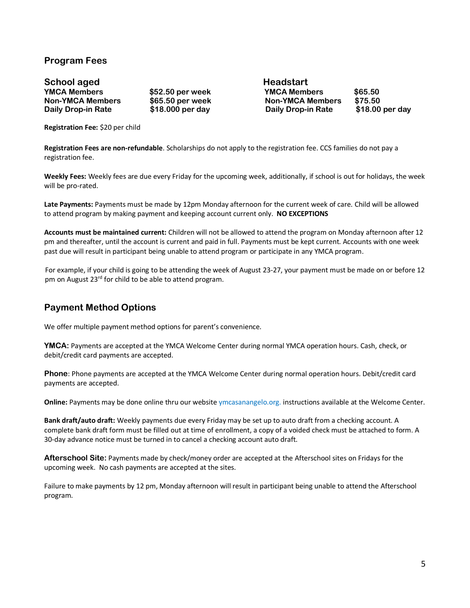### **Program Fees**

**School aged Headstart YMCA Members \$52.50 per week YMCA Members \$65.50 Non-YMCA Members**  $$65.50$  **per week**  $$918.000$  **per day**  $$75.50$ **<br>Daily Drop-in Rate**  $$18.000$  **per day**  $$Daily Drop-in Rate$  **\$18.00 per day Daily Drop-in Rate \$18.000 per day Daily Drop-in Rate \$18.00 per day**

**Registration Fee:** \$20 per child

**Registration Fees are non-refundable**. Scholarships do not apply to the registration fee. CCS families do not pay a registration fee.

**Weekly Fees:** Weekly fees are due every Friday for the upcoming week, additionally, if school is out for holidays, the week will be pro-rated.

**Late Payments:** Payments must be made by 12pm Monday afternoon for the current week of care. Child will be allowed to attend program by making payment and keeping account current only. **NO EXCEPTIONS**

**Accounts must be maintained current:** Children will not be allowed to attend the program on Monday afternoon after 12 pm and thereafter, until the account is current and paid in full. Payments must be kept current. Accounts with one week past due will result in participant being unable to attend program or participate in any YMCA program.

 For example, if your child is going to be attending the week of August 23-27, your payment must be made on or before 12 pm on August 23<sup>rd</sup> for child to be able to attend program.

## **Payment Method Options**

We offer multiple payment method options for parent's convenience.

**YMCA:** Payments are accepted at the YMCA Welcome Center during normal YMCA operation hours. Cash, check, or debit/credit card payments are accepted.

**Phone**: Phone payments are accepted at the YMCA Welcome Center during normal operation hours. Debit/credit card payments are accepted.

**Online:** Payments may be done online thru our website ymcasanangelo.org. instructions available at the Welcome Center.

**Bank draft/auto draft:** Weekly payments due every Friday may be set up to auto draft from a checking account. A complete bank draft form must be filled out at time of enrollment, a copy of a voided check must be attached to form. A 30-day advance notice must be turned in to cancel a checking account auto draft.

**Afterschool Site:** Payments made by check/money order are accepted at the Afterschool sites on Fridays for the upcoming week. No cash payments are accepted at the sites.

Failure to make payments by 12 pm, Monday afternoon will result in participant being unable to attend the Afterschool program.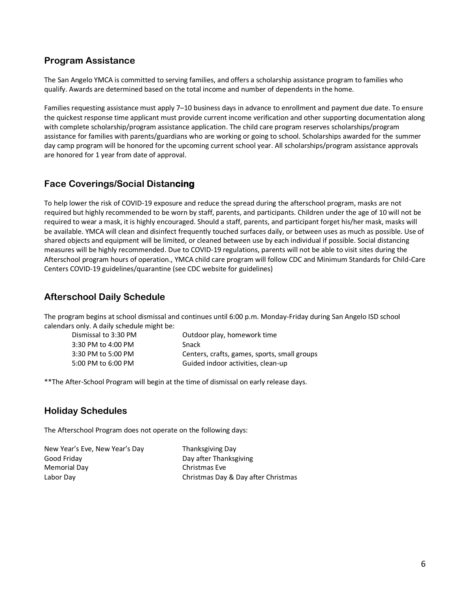## **Program Assistance**

The San Angelo YMCA is committed to serving families, and offers a scholarship assistance program to families who qualify. Awards are determined based on the total income and number of dependents in the home.

Families requesting assistance must apply 7–10 business days in advance to enrollment and payment due date. To ensure the quickest response time applicant must provide current income verification and other supporting documentation along with complete scholarship/program assistance application. The child care program reserves scholarships/program assistance for families with parents/guardians who are working or going to school. Scholarships awarded for the summer day camp program will be honored for the upcoming current school year. All scholarships/program assistance approvals are honored for 1 year from date of approval.

# **Face Coverings/Social Distancing**

To help lower the risk of COVID-19 exposure and reduce the spread during the afterschool program, masks are not required but highly recommended to be worn by staff, parents, and participants. Children under the age of 10 will not be required to wear a mask, it is highly encouraged. Should a staff, parents, and participant forget his/her mask, masks will be available. YMCA will clean and disinfect frequently touched surfaces daily, or between uses as much as possible. Use of shared objects and equipment will be limited, or cleaned between use by each individual if possible. Social distancing measures will be highly recommended. Due to COVID-19 regulations, parents will not be able to visit sites during the Afterschool program hours of operation., YMCA child care program will follow CDC and Minimum Standards for Child-Care Centers COVID-19 guidelines/quarantine (see CDC website for guidelines)

# **Afterschool Daily Schedule**

The program begins at school dismissal and continues until 6:00 p.m. Monday-Friday during San Angelo ISD school calendars only. A daily schedule might be:

| Dismissal to 3:30 PM | Outdoor play, homework time                  |
|----------------------|----------------------------------------------|
| 3:30 PM to 4:00 PM   | Snack                                        |
|                      |                                              |
| 3:30 PM to 5:00 PM   | Centers, crafts, games, sports, small groups |
| 5:00 PM to 6:00 PM   | Guided indoor activities, clean-up           |

\*\*The After-School Program will begin at the time of dismissal on early release days.

## **Holiday Schedules**

The Afterschool Program does not operate on the following days:

| New Year's Eve, New Year's Day | Thanksgiving Day                    |
|--------------------------------|-------------------------------------|
| Good Friday                    | Day after Thanksgiving              |
| Memorial Day                   | Christmas Eve                       |
| Labor Day                      | Christmas Day & Day after Christmas |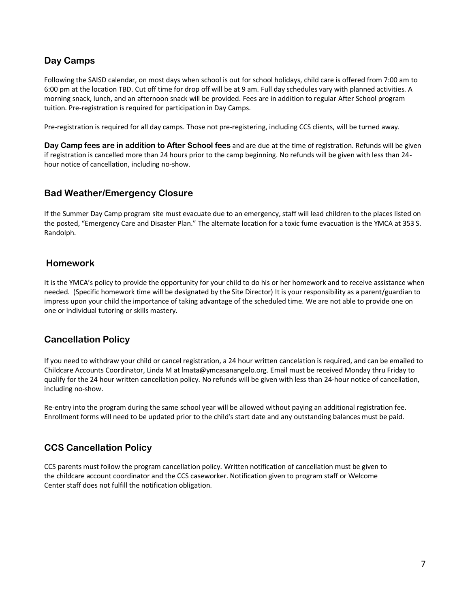# **Day Camps**

Following the SAISD calendar, on most days when school is out for school holidays, child care is offered from 7:00 am to 6:00 pm at the location TBD. Cut off time for drop off will be at 9 am. Full day schedules vary with planned activities. A morning snack, lunch, and an afternoon snack will be provided. Fees are in addition to regular After School program tuition. Pre-registration is required for participation in Day Camps.

Pre-registration is required for all day camps. Those not pre-registering, including CCS clients, will be turned away.

**Day Camp fees are in addition to After School fees** and are due at the time of registration. Refunds will be given if registration is cancelled more than 24 hours prior to the camp beginning. No refunds will be given with less than 24 hour notice of cancellation, including no-show.

## **Bad Weather/Emergency Closure**

If the Summer Day Camp program site must evacuate due to an emergency, staff will lead children to the places listed on the posted, "Emergency Care and Disaster Plan." The alternate location for a toxic fume evacuation is the YMCA at 353 S. Randolph.

## **Homework**

It is the YMCA's policy to provide the opportunity for your child to do his or her homework and to receive assistance when needed. (Specific homework time will be designated by the Site Director) It is your responsibility as a parent/guardian to impress upon your child the importance of taking advantage of the scheduled time. We are not able to provide one on one or individual tutoring or skills mastery.

# **Cancellation Policy**

If you need to withdraw your child or cancel registration, a 24 hour written cancelation is required, and can be emailed to Childcare Accounts Coordinator, Linda M at lmata@ymcasanangelo.org. Email must be received Monday thru Friday to qualify for the 24 hour written cancellation policy. No refunds will be given with less than 24-hour notice of cancellation, including no-show.

Re-entry into the program during the same school year will be allowed without paying an additional registration fee. Enrollment forms will need to be updated prior to the child's start date and any outstanding balances must be paid.

# **CCS Cancellation Policy**

CCS parents must follow the program cancellation policy. Written notification of cancellation must be given to the childcare account coordinator and the CCS caseworker. Notification given to program staff or Welcome Center staff does not fulfill the notification obligation.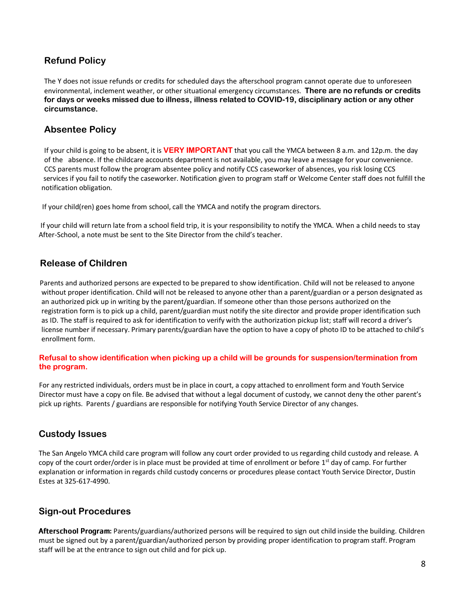# **Refund Policy**

The Y does not issue refunds or credits for scheduled days the afterschool program cannot operate due to unforeseen environmental, inclement weather, or other situational emergency circumstances. **There are no refunds or credits for days or weeks missed due to illness, illness related to COVID-19, disciplinary action or any other circumstance.**

## **Absentee Policy**

If your child is going to be absent, it is **VERY IMPORTANT** that you call the YMCA between 8 a.m. and 12p.m. the day of the absence. If the childcare accounts department is not available, you may leave a message for your convenience. CCS parents must follow the program absentee policy and notify CCS caseworker of absences, you risk losing CCS services if you fail to notify the caseworker. Notification given to program staff or Welcome Center staff does not fulfill the notification obligation.

If your child(ren) goes home from school, call the YMCA and notify the program directors.

If your child will return late from a school field trip, it is your responsibility to notify the YMCA. When a child needs to stay After-School, a note must be sent to the Site Director from the child's teacher.

# **Release of Children**

 Parents and authorized persons are expected to be prepared to show identification. Child will not be released to anyone without proper identification. Child will not be released to anyone other than a parent/guardian or a person designated as an authorized pick up in writing by the parent/guardian. If someone other than those persons authorized on the registration form is to pick up a child, parent/guardian must notify the site director and provide proper identification such as ID. The staff is required to ask for identification to verify with the authorization pickup list; staff will record a driver's license number if necessary. Primary parents/guardian have the option to have a copy of photo ID to be attached to child's enrollment form.

#### **Refusal to show identification when picking up a child will be grounds for suspension/termination from the program.**

For any restricted individuals, orders must be in place in court, a copy attached to enrollment form and Youth Service Director must have a copy on file. Be advised that without a legal document of custody, we cannot deny the other parent's pick up rights. Parents / guardians are responsible for notifying Youth Service Director of any changes.

## **Custody Issues**

The San Angelo YMCA child care program will follow any court order provided to us regarding child custody and release. A copy of the court order/order is in place must be provided at time of enrollment or before  $1<sup>st</sup>$  day of camp. For further explanation or information in regards child custody concerns or procedures please contact Youth Service Director, Dustin Estes at 325-617-4990.

## **Sign-out Procedures**

Afterschool Program: Parents/guardians/authorized persons will be required to sign out child inside the building. Children must be signed out by a parent/guardian/authorized person by providing proper identification to program staff. Program staff will be at the entrance to sign out child and for pick up.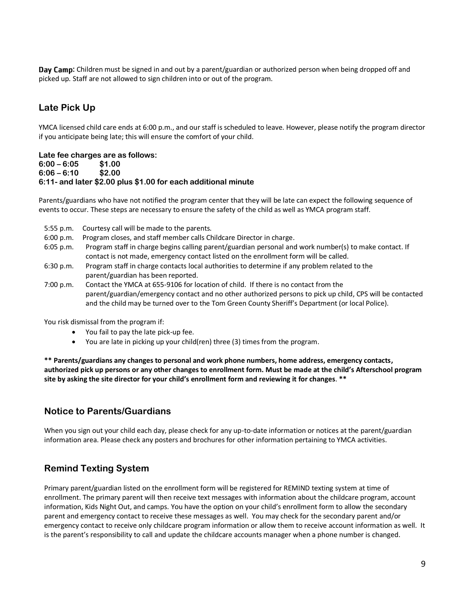Day Camp: Children must be signed in and out by a parent/guardian or authorized person when being dropped off and picked up. Staff are not allowed to sign children into or out of the program.

# **Late Pick Up**

YMCA licensed child care ends at 6:00 p.m., and our staff is scheduled to leave. However, please notify the program director if you anticipate being late; this will ensure the comfort of your child.

#### **Late fee charges are as follows: 6:00 – 6:05 \$1.00 6:06 – 6:10 \$2.00 6:11- and later \$2.00 plus \$1.00 for each additional minute**

Parents/guardians who have not notified the program center that they will be late can expect the following sequence of events to occur. These steps are necessary to ensure the safety of the child as well as YMCA program staff.

- 5:55 p.m. Courtesy call will be made to the parents.
- 6:00 p.m. Program closes, and staff member calls Childcare Director in charge.
- 6:05 p.m. Program staff in charge begins calling parent/guardian personal and work number(s) to make contact. If contact is not made, emergency contact listed on the enrollment form will be called.
- 6:30 p.m. Program staff in charge contacts local authorities to determine if any problem related to the parent/guardian has been reported.
- 7:00 p.m. Contact the YMCA at 655-9106 for location of child. If there is no contact from the parent/guardian/emergency contact and no other authorized persons to pick up child, CPS will be contacted and the child may be turned over to the Tom Green County Sheriff's Department (or local Police).

You risk dismissal from the program if:

- You fail to pay the late pick-up fee.
- You are late in picking up your child(ren) three (3) times from the program.

**\*\* Parents/guardians any changes to personal and work phone numbers, home address, emergency contacts, authorized pick up persons or any other changes to enrollment form. Must be made at the child's Afterschool program site by asking the site director for your child's enrollment form and reviewing it for changes**. **\*\*** 

## **Notice to Parents/Guardians**

When you sign out your child each day, please check for any up-to-date information or notices at the parent/guardian information area. Please check any posters and brochures for other information pertaining to YMCA activities.

# **Remind Texting System**

Primary parent/guardian listed on the enrollment form will be registered for REMIND texting system at time of enrollment. The primary parent will then receive text messages with information about the childcare program, account information, Kids Night Out, and camps. You have the option on your child's enrollment form to allow the secondary parent and emergency contact to receive these messages as well. You may check for the secondary parent and/or emergency contact to receive only childcare program information or allow them to receive account information as well. It is the parent's responsibility to call and update the childcare accounts manager when a phone number is changed.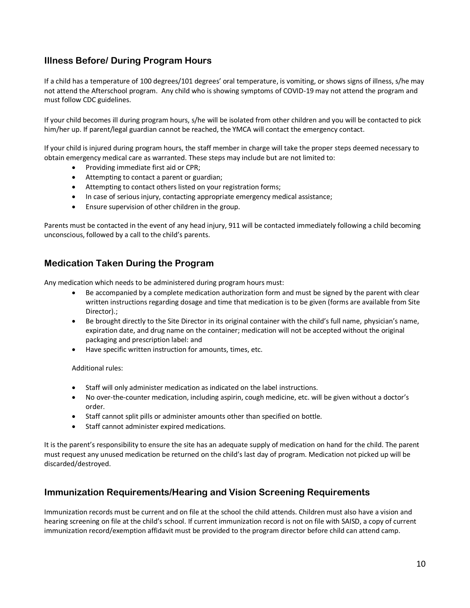# **Illness Before/ During Program Hours**

If a child has a temperature of 100 degrees/101 degrees' oral temperature, is vomiting, or shows signs of illness, s/he may not attend the Afterschool program. Any child who is showing symptoms of COVID-19 may not attend the program and must follow CDC guidelines.

If your child becomes ill during program hours, s/he will be isolated from other children and you will be contacted to pick him/her up. If parent/legal guardian cannot be reached, the YMCA will contact the emergency contact.

If your child is injured during program hours, the staff member in charge will take the proper steps deemed necessary to obtain emergency medical care as warranted. These steps may include but are not limited to:

- Providing immediate first aid or CPR;
- Attempting to contact a parent or guardian;
- Attempting to contact others listed on your registration forms;
- In case of serious injury, contacting appropriate emergency medical assistance;
- Ensure supervision of other children in the group.

Parents must be contacted in the event of any head injury, 911 will be contacted immediately following a child becoming unconscious, followed by a call to the child's parents.

## **Medication Taken During the Program**

Any medication which needs to be administered during program hours must:

- Be accompanied by a complete medication authorization form and must be signed by the parent with clear written instructions regarding dosage and time that medication is to be given (forms are available from Site Director).;
- Be brought directly to the Site Director in its original container with the child's full name, physician's name, expiration date, and drug name on the container; medication will not be accepted without the original packaging and prescription label: and
- Have specific written instruction for amounts, times, etc.

Additional rules:

- Staff will only administer medication as indicated on the label instructions.
- No over-the-counter medication, including aspirin, cough medicine, etc. will be given without a doctor's order.
- Staff cannot split pills or administer amounts other than specified on bottle.
- **•** Staff cannot administer expired medications.

It is the parent's responsibility to ensure the site has an adequate supply of medication on hand for the child. The parent must request any unused medication be returned on the child's last day of program. Medication not picked up will be discarded/destroyed.

## **Immunization Requirements/Hearing and Vision Screening Requirements**

Immunization records must be current and on file at the school the child attends. Children must also have a vision and hearing screening on file at the child's school. If current immunization record is not on file with SAISD, a copy of current immunization record/exemption affidavit must be provided to the program director before child can attend camp.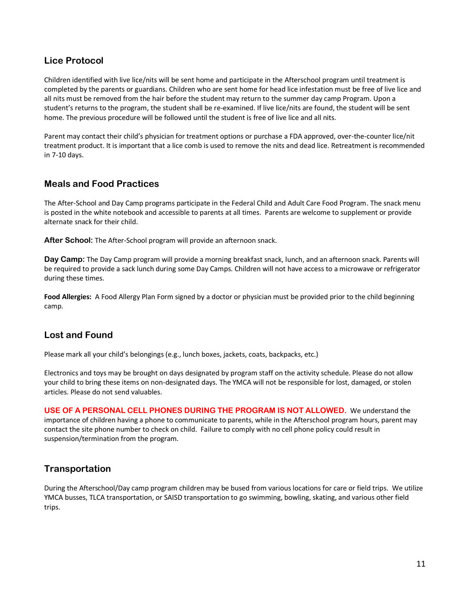## **Lice Protocol**

Children identified with live lice/nits will be sent home and participate in the Afterschool program until treatment is completed by the parents or guardians. Children who are sent home for head lice infestation must be free of live lice and all nits must be removed from the hair before the student may return to the summer day camp Program. Upon a student's returns to the program, the student shall be re-examined. If live lice/nits are found, the student will be sent home. The previous procedure will be followed until the student is free of live lice and all nits.

Parent may contact their child's physician for treatment options or purchase a FDA approved, over-the-counter lice/nit treatment product. It is important that a lice comb is used to remove the nits and dead lice. Retreatment is recommended in 7-10 days.

## **Meals and Food Practices**

The After-School and Day Camp programs participate in the Federal Child and Adult Care Food Program. The snack menu is posted in the white notebook and accessible to parents at all times. Parents are welcome to supplement or provide alternate snack for their child.

**After School:** The After-School program will provide an afternoon snack.

**Day Camp:** The Day Camp program will provide a morning breakfast snack, lunch, and an afternoon snack. Parents will be required to provide a sack lunch during some Day Camps. Children will not have access to a microwave or refrigerator during these times.

**Food Allergies:** A Food Allergy Plan Form signed by a doctor or physician must be provided prior to the child beginning camp.

# **Lost and Found**

Please mark all your child's belongings (e.g., lunch boxes, jackets, coats, backpacks, etc.)

Electronics and toys may be brought on days designated by program staff on the activity schedule. Please do not allow your child to bring these items on non-designated days. The YMCA will not be responsible for lost, damaged, or stolen articles. Please do not send valuables.

**USE OF A PERSONAL CELL PHONES DURING THE PROGRAM IS NOT ALLOWED.** We understand the importance of children having a phone to communicate to parents, while in the Afterschool program hours, parent may contact the site phone number to check on child. Failure to comply with no cell phone policy could result in suspension/termination from the program.

## **Transportation**

During the Afterschool/Day camp program children may be bused from various locations for care or field trips. We utilize YMCA busses, TLCA transportation, or SAISD transportation to go swimming, bowling, skating, and various other field trips.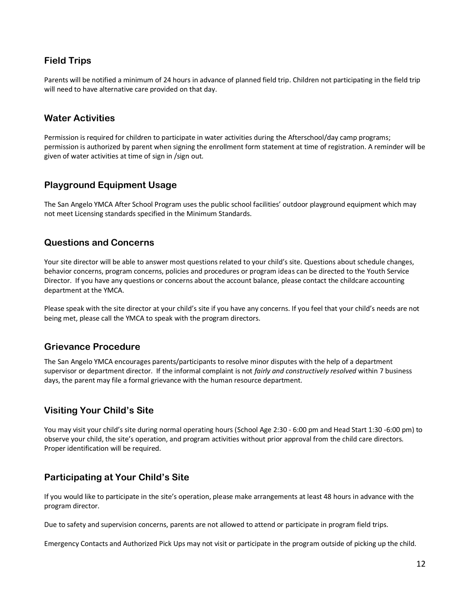# **Field Trips**

Parents will be notified a minimum of 24 hours in advance of planned field trip. Children not participating in the field trip will need to have alternative care provided on that day.

## **Water Activities**

Permission is required for children to participate in water activities during the Afterschool/day camp programs; permission is authorized by parent when signing the enrollment form statement at time of registration. A reminder will be given of water activities at time of sign in /sign out.

## **Playground Equipment Usage**

The San Angelo YMCA After School Program uses the public school facilities' outdoor playground equipment which may not meet Licensing standards specified in the Minimum Standards.

## **Questions and Concerns**

Your site director will be able to answer most questions related to your child's site. Questions about schedule changes, behavior concerns, program concerns, policies and procedures or program ideas can be directed to the Youth Service Director. If you have any questions or concerns about the account balance, please contact the childcare accounting department at the YMCA.

Please speak with the site director at your child's site if you have any concerns. If you feel that your child's needs are not being met, please call the YMCA to speak with the program directors.

## **Grievance Procedure**

The San Angelo YMCA encourages parents/participants to resolve minor disputes with the help of a department supervisor or department director. If the informal complaint is not *fairly and constructively resolved* within 7 business days, the parent may file a formal grievance with the human resource department.

## **Visiting Your Child's Site**

You may visit your child's site during normal operating hours (School Age 2:30 - 6:00 pm and Head Start 1:30 -6:00 pm) to observe your child, the site's operation, and program activities without prior approval from the child care directors. Proper identification will be required.

# **Participating at Your Child's Site**

If you would like to participate in the site's operation, please make arrangements at least 48 hours in advance with the program director.

Due to safety and supervision concerns, parents are not allowed to attend or participate in program field trips.

Emergency Contacts and Authorized Pick Ups may not visit or participate in the program outside of picking up the child.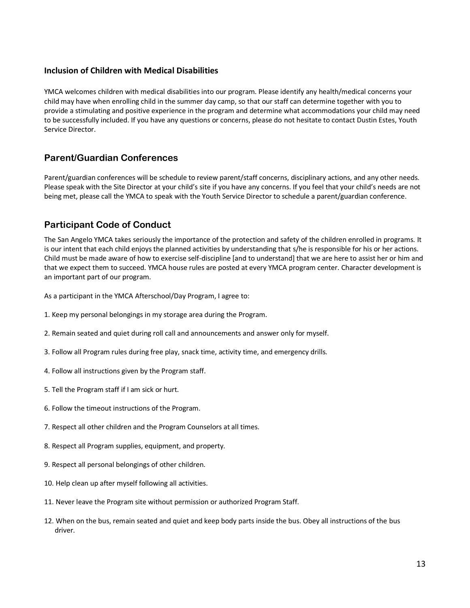#### **Inclusion of Children with Medical Disabilities**

YMCA welcomes children with medical disabilities into our program. Please identify any health/medical concerns your child may have when enrolling child in the summer day camp, so that our staff can determine together with you to provide a stimulating and positive experience in the program and determine what accommodations your child may need to be successfully included. If you have any questions or concerns, please do not hesitate to contact Dustin Estes, Youth Service Director.

## **Parent/Guardian Conferences**

Parent/guardian conferences will be schedule to review parent/staff concerns, disciplinary actions, and any other needs. Please speak with the Site Director at your child's site if you have any concerns. If you feel that your child's needs are not being met, please call the YMCA to speak with the Youth Service Director to schedule a parent/guardian conference.

# **Participant Code of Conduct**

The San Angelo YMCA takes seriously the importance of the protection and safety of the children enrolled in programs. It is our intent that each child enjoys the planned activities by understanding that s/he is responsible for his or her actions. Child must be made aware of how to exercise self-discipline [and to understand] that we are here to assist her or him and that we expect them to succeed. YMCA house rules are posted at every YMCA program center. Character development is an important part of our program.

As a participant in the YMCA Afterschool/Day Program, I agree to:

- 1. Keep my personal belongings in my storage area during the Program.
- 2. Remain seated and quiet during roll call and announcements and answer only for myself.
- 3. Follow all Program rules during free play, snack time, activity time, and emergency drills.
- 4. Follow all instructions given by the Program staff.
- 5. Tell the Program staff if I am sick or hurt.
- 6. Follow the timeout instructions of the Program.
- 7. Respect all other children and the Program Counselors at all times.
- 8. Respect all Program supplies, equipment, and property.
- 9. Respect all personal belongings of other children.
- 10. Help clean up after myself following all activities.
- 11. Never leave the Program site without permission or authorized Program Staff.
- 12. When on the bus, remain seated and quiet and keep body parts inside the bus. Obey all instructions of the bus driver.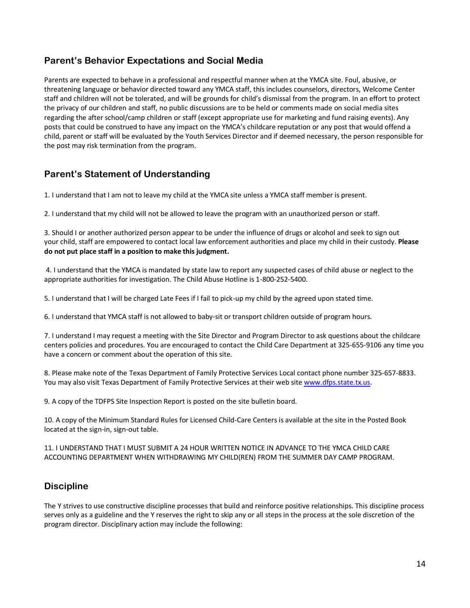# **Parent's Behavior Expectations and Social Media**

Parents are expected to behave in a professional and respectful manner when at the YMCA site. Foul, abusive, or threatening language or behavior directed toward any YMCA staff, this includes counselors, directors, Welcome Center staff and children will not be tolerated, and will be grounds for child's dismissal from the program. In an effort to protect the privacy of our children and staff, no public discussions are to be held or comments made on social media sites regarding the after school/camp children or staff (except appropriate use for marketing and fund raising events). Any posts that could be construed to have any impact on the YMCA's childcare reputation or any post that would offend a child, parent or staff will be evaluated by the Youth Services Director and if deemed necessary, the person responsible for the post may risk termination from the program.

# **Parent's Statement of Understanding**

1. I understand that I am not to leave my child at the YMCA site unless a YMCA staff member is present.

2. I understand that my child will not be allowed to leave the program with an unauthorized person or staff.

3. Should I or another authorized person appear to be under the influence of drugs or alcohol and seek to sign out your child, staff are empowered to contact local law enforcement authorities and place my child in their custody. **Please do not put place staff in a position to make this judgment.**

4. I understand that the YMCA is mandated by state law to report any suspected cases of child abuse or neglect to the appropriate authorities for investigation. The Child Abuse Hotline is 1-800-252-5400.

5. I understand that I will be charged Late Fees if I fail to pick-up my child by the agreed upon stated time.

6. I understand that YMCA staff is not allowed to baby-sit or transport children outside of program hours.

7. I understand I may request a meeting with the Site Director and Program Director to ask questions about the childcare centers policies and procedures. You are encouraged to contact the Child Care Department at 325-655-9106 any time you have a concern or comment about the operation of this site.

8. Please make note of the Texas Department of Family Protective Services Local contact phone number 325-657-8833. You may also visit Texas Department of Family Protective Services at their web site [www.dfps.state.tx.us.](http://www.dfps.state.tx.us/)

9. A copy of the TDFPS Site Inspection Report is posted on the site bulletin board.

10. A copy of the Minimum Standard Rules for Licensed Child-Care Centers is available at the site in the Posted Book located at the sign-in, sign-out table.

11. I UNDERSTAND THAT I MUST SUBMIT A 24 HOUR WRITTEN NOTICE IN ADVANCE TO THE YMCA CHILD CARE ACCOUNTING DEPARTMENT WHEN WITHDRAWING MY CHILD(REN) FROM THE SUMMER DAY CAMP PROGRAM.

# **Discipline**

The Y strives to use constructive discipline processes that build and reinforce positive relationships. This discipline process serves only as a guideline and the Y reserves the right to skip any or all steps in the process at the sole discretion of the program director. Disciplinary action may include the following: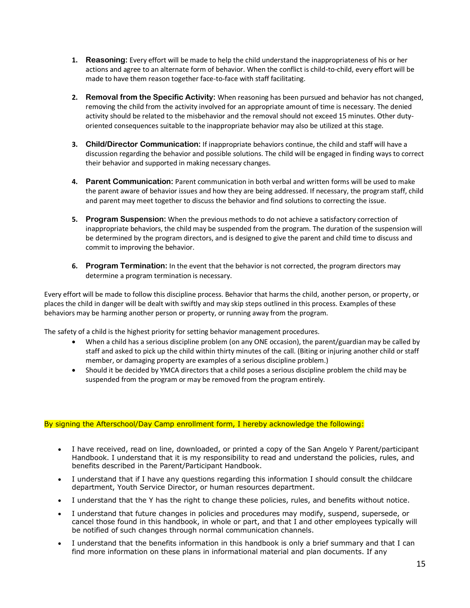- **1. Reasoning:** Every effort will be made to help the child understand the inappropriateness of his or her actions and agree to an alternate form of behavior. When the conflict is child-to-child, every effort will be made to have them reason together face-to-face with staff facilitating.
- **2. Removal from the Specific Activity:** When reasoning has been pursued and behavior has not changed, removing the child from the activity involved for an appropriate amount of time is necessary. The denied activity should be related to the misbehavior and the removal should not exceed 15 minutes. Other dutyoriented consequences suitable to the inappropriate behavior may also be utilized at this stage.
- **3. Child/Director Communication:** If inappropriate behaviors continue, the child and staff will have a discussion regarding the behavior and possible solutions. The child will be engaged in finding ways to correct their behavior and supported in making necessary changes.
- **4. Parent Communication:** Parent communication in both verbal and written forms will be used to make the parent aware of behavior issues and how they are being addressed. If necessary, the program staff, child and parent may meet together to discuss the behavior and find solutions to correcting the issue.
- **5. Program Suspension:** When the previous methods to do not achieve a satisfactory correction of inappropriate behaviors, the child may be suspended from the program. The duration of the suspension will be determined by the program directors, and is designed to give the parent and child time to discuss and commit to improving the behavior.
- **6. Program Termination:** In the event that the behavior is not corrected, the program directors may determine a program termination is necessary.

Every effort will be made to follow this discipline process. Behavior that harms the child, another person, or property, or places the child in danger will be dealt with swiftly and may skip steps outlined in this process. Examples of these behaviors may be harming another person or property, or running away from the program.

The safety of a child is the highest priority for setting behavior management procedures.

- When a child has a serious discipline problem (on any ONE occasion), the parent/guardian may be called by staff and asked to pick up the child within thirty minutes of the call. (Biting or injuring another child or staff member, or damaging property are examples of a serious discipline problem.)
- Should it be decided by YMCA directors that a child poses a serious discipline problem the child may be suspended from the program or may be removed from the program entirely.

#### By signing the Afterschool/Day Camp enrollment form, I hereby acknowledge the following:

- I have received, read on line, downloaded, or printed a copy of the San Angelo Y Parent/participant Handbook. I understand that it is my responsibility to read and understand the policies, rules, and benefits described in the Parent/Participant Handbook.
- I understand that if I have any questions regarding this information I should consult the childcare department, Youth Service Director, or human resources department.
- I understand that the Y has the right to change these policies, rules, and benefits without notice.
- I understand that future changes in policies and procedures may modify, suspend, supersede, or cancel those found in this handbook, in whole or part, and that I and other employees typically will be notified of such changes through normal communication channels.
- I understand that the benefits information in this handbook is only a brief summary and that I can find more information on these plans in informational material and plan documents. If any